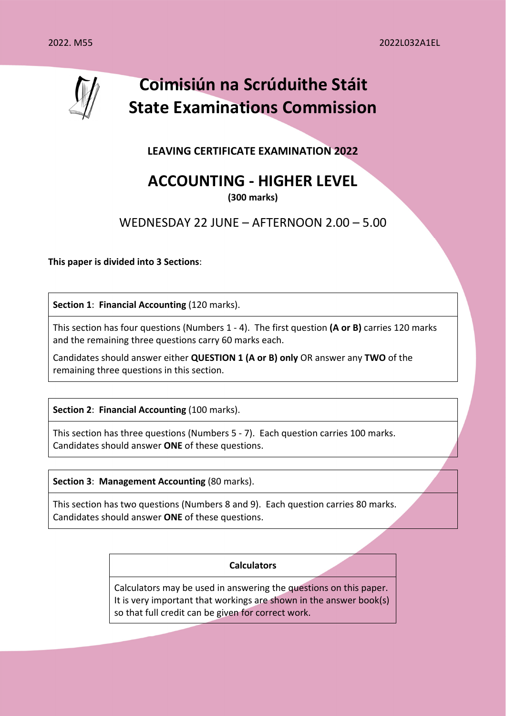

**LEAVING CERTIFICATE EXAMINATION 2022** 

# **ACCOUNTING - HIGHER LEVEL**

**(300 marks)** 

# WEDNESDAY 22 JUNE – AFTERNOON 2.00 – 5.00

**This paper is divided into 3 Sections**:

**Section 1: Financial Accounting (120 marks).** 

This section has four questions (Numbers 1 - 4). The first question **(A or B)** carries 120 marks and the remaining three questions carry 60 marks each.

Candidates should answer either **QUESTION 1 (A or B) only** OR answer any **TWO** of the remaining three questions in this section.

**Section 2: Financial Accounting (100 marks).** 

This section has three questions (Numbers 5 - 7). Each question carries 100 marks. Candidates should answer **ONE** of these questions.

**Section 3**: **Management Accounting** (80 marks).

This section has two questions (Numbers 8 and 9). Each question carries 80 marks. Candidates should answer **ONE** of these questions.

#### **Calculators**

Calculators may be used in answering the questions on this paper. It is very important that workings are shown in the answer book(s) so that full credit can be given for correct work.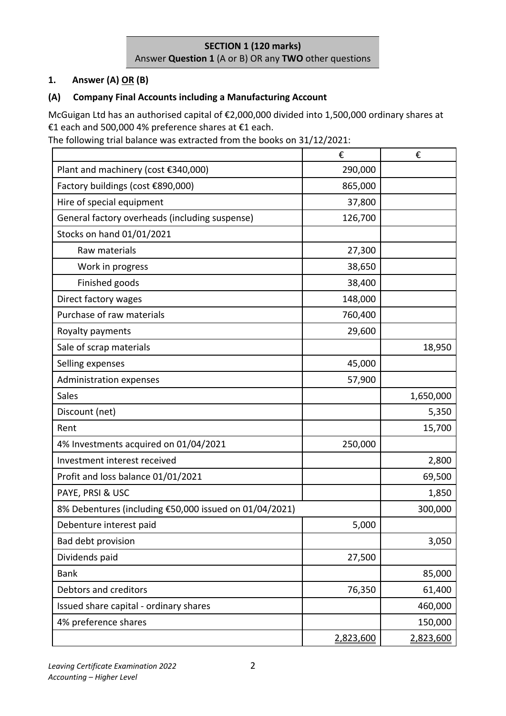# **SECTION 1 (120 marks)**  Answer **Question 1** (A or B) OR any **TWO** other questions

# **1. Answer (A) OR (B)**

# **(A) Company Final Accounts including a Manufacturing Account**

McGuigan Ltd has an authorised capital of €2,000,000 divided into 1,500,000 ordinary shares at €1 each and 500,000 4% preference shares at €1 each.

The following trial balance was extracted from the books on 31/12/2021:

|                                                        | €         | €         |
|--------------------------------------------------------|-----------|-----------|
| Plant and machinery (cost €340,000)                    | 290,000   |           |
| Factory buildings (cost €890,000)                      | 865,000   |           |
| Hire of special equipment                              | 37,800    |           |
| General factory overheads (including suspense)         | 126,700   |           |
| Stocks on hand 01/01/2021                              |           |           |
| Raw materials                                          | 27,300    |           |
| Work in progress                                       | 38,650    |           |
| Finished goods                                         | 38,400    |           |
| Direct factory wages                                   | 148,000   |           |
| Purchase of raw materials                              | 760,400   |           |
| Royalty payments                                       | 29,600    |           |
| Sale of scrap materials                                |           | 18,950    |
| Selling expenses                                       | 45,000    |           |
| <b>Administration expenses</b>                         | 57,900    |           |
| <b>Sales</b>                                           |           | 1,650,000 |
| Discount (net)                                         |           | 5,350     |
| Rent                                                   |           | 15,700    |
| 4% Investments acquired on 01/04/2021                  | 250,000   |           |
| Investment interest received                           |           | 2,800     |
| Profit and loss balance 01/01/2021                     |           | 69,500    |
| PAYE, PRSI & USC                                       |           | 1,850     |
| 8% Debentures (including €50,000 issued on 01/04/2021) |           | 300,000   |
| Debenture interest paid                                | 5,000     |           |
| Bad debt provision                                     |           | 3,050     |
| Dividends paid                                         | 27,500    |           |
| <b>Bank</b>                                            |           | 85,000    |
| Debtors and creditors                                  | 76,350    | 61,400    |
| Issued share capital - ordinary shares                 |           | 460,000   |
| 4% preference shares                                   |           | 150,000   |
|                                                        | 2,823,600 | 2,823,600 |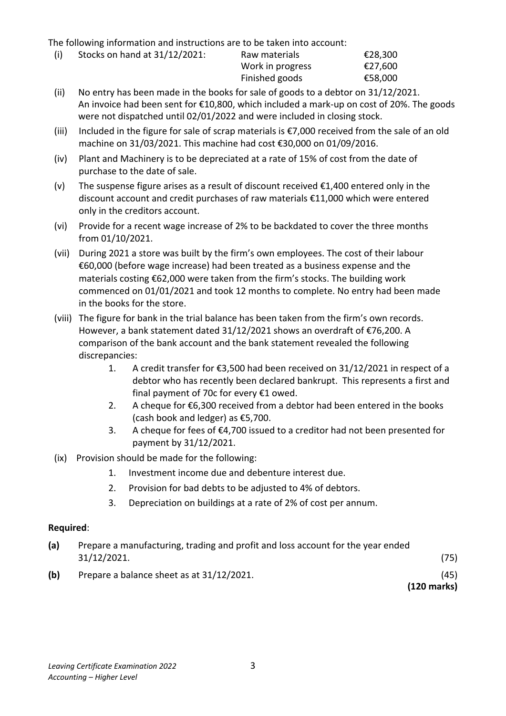The following information and instructions are to be taken into account:

(i) Stocks on hand at  $31/12/2021$ : Raw materials  $\epsilon$ 28,300

 Work in progress €27,600 Finished goods €58,000

- (ii) No entry has been made in the books for sale of goods to a debtor on 31/12/2021. An invoice had been sent for €10,800, which included a mark-up on cost of 20%. The goods were not dispatched until 02/01/2022 and were included in closing stock.
- (iii) Included in the figure for sale of scrap materials is €7,000 received from the sale of an old machine on 31/03/2021. This machine had cost €30,000 on 01/09/2016.
- (iv) Plant and Machinery is to be depreciated at a rate of 15% of cost from the date of purchase to the date of sale.
- (v) The suspense figure arises as a result of discount received  $\epsilon$ 1,400 entered only in the discount account and credit purchases of raw materials €11,000 which were entered only in the creditors account.
- (vi) Provide for a recent wage increase of 2% to be backdated to cover the three months from 01/10/2021.
- (vii) During 2021 a store was built by the firm's own employees. The cost of their labour €60,000 (before wage increase) had been treated as a business expense and the materials costing €62,000 were taken from the firm's stocks. The building work commenced on 01/01/2021 and took 12 months to complete. No entry had been made in the books for the store.
- (viii) The figure for bank in the trial balance has been taken from the firm's own records. However, a bank statement dated 31/12/2021 shows an overdraft of €76,200. A comparison of the bank account and the bank statement revealed the following discrepancies:
	- 1. A credit transfer for €3,500 had been received on 31/12/2021 in respect of a debtor who has recently been declared bankrupt. This represents a first and final payment of 70c for every  $£1$  owed.
	- 2. A cheque for  $\epsilon$ 6,300 received from a debtor had been entered in the books (cash book and ledger) as €5,700.
	- 3. A cheque for fees of €4,700 issued to a creditor had not been presented for payment by 31/12/2021.
- (ix) Provision should be made for the following:
	- 1. Investment income due and debenture interest due.
	- 2. Provision for bad debts to be adjusted to 4% of debtors.
	- 3. Depreciation on buildings at a rate of 2% of cost per annum.

#### **Required**:

| (a) | Prepare a manufacturing, trading and profit and loss account for the year ended |               |
|-----|---------------------------------------------------------------------------------|---------------|
|     | 31/12/2021.                                                                     | (75)          |
| (b) | Prepare a balance sheet as at 31/12/2021.                                       | (45)          |
|     |                                                                                 | $(120$ marks) |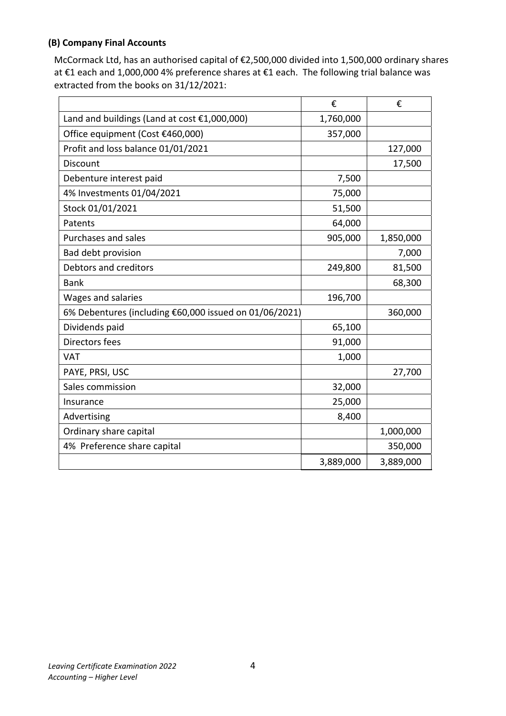# **(B) Company Final Accounts**

McCormack Ltd, has an authorised capital of €2,500,000 divided into 1,500,000 ordinary shares at €1 each and 1,000,000 4% preference shares at €1 each. The following trial balance was extracted from the books on 31/12/2021:

|                                                        | €         | €         |
|--------------------------------------------------------|-----------|-----------|
| Land and buildings (Land at cost $£1,000,000$ )        | 1,760,000 |           |
| Office equipment (Cost €460,000)                       | 357,000   |           |
| Profit and loss balance 01/01/2021                     |           | 127,000   |
| <b>Discount</b>                                        |           | 17,500    |
| Debenture interest paid                                | 7,500     |           |
| 4% Investments 01/04/2021                              | 75,000    |           |
| Stock 01/01/2021                                       | 51,500    |           |
| Patents                                                | 64,000    |           |
| Purchases and sales                                    | 905,000   | 1,850,000 |
| Bad debt provision                                     |           | 7,000     |
| Debtors and creditors                                  | 249,800   | 81,500    |
| <b>Bank</b>                                            |           | 68,300    |
| Wages and salaries                                     | 196,700   |           |
| 6% Debentures (including €60,000 issued on 01/06/2021) |           | 360,000   |
| Dividends paid                                         | 65,100    |           |
| Directors fees                                         | 91,000    |           |
| <b>VAT</b>                                             | 1,000     |           |
| PAYE, PRSI, USC                                        |           | 27,700    |
| Sales commission                                       | 32,000    |           |
| Insurance                                              | 25,000    |           |
| Advertising                                            | 8,400     |           |
| Ordinary share capital                                 |           | 1,000,000 |
| 4% Preference share capital                            |           | 350,000   |
|                                                        | 3,889,000 | 3,889,000 |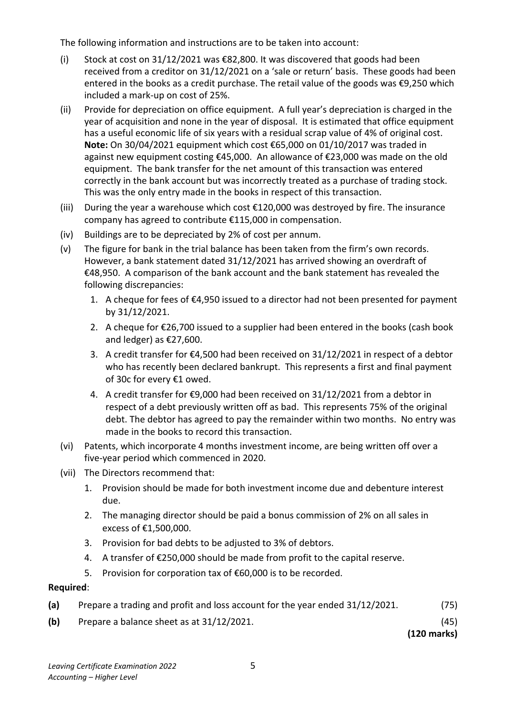The following information and instructions are to be taken into account:

- (i) Stock at cost on 31/12/2021 was  $\epsilon$ 82,800. It was discovered that goods had been received from a creditor on 31/12/2021 on a 'sale or return' basis. These goods had been entered in the books as a credit purchase. The retail value of the goods was €9,250 which included a mark-up on cost of 25%.
- (ii) Provide for depreciation on office equipment. A full year's depreciation is charged in the year of acquisition and none in the year of disposal. It is estimated that office equipment has a useful economic life of six years with a residual scrap value of 4% of original cost.  **Note:** On 30/04/2021 equipment which cost €65,000 on 01/10/2017 was traded in against new equipment costing €45,000. An allowance of €23,000 was made on the old equipment. The bank transfer for the net amount of this transaction was entered correctly in the bank account but was incorrectly treated as a purchase of trading stock. This was the only entry made in the books in respect of this transaction.
- (iii) During the year a warehouse which cost  $E$ 120,000 was destroyed by fire. The insurance company has agreed to contribute €115,000 in compensation.
- (iv) Buildings are to be depreciated by 2% of cost per annum.
- (v) The figure for bank in the trial balance has been taken from the firm's own records. However, a bank statement dated 31/12/2021 has arrived showing an overdraft of €48,950. A comparison of the bank account and the bank statement has revealed the following discrepancies:
	- 1. A cheque for fees of €4,950 issued to a director had not been presented for payment by 31/12/2021.
	- 2. A cheque for  $\epsilon$ 26,700 issued to a supplier had been entered in the books (cash book and ledger) as €27,600.
	- 3. A credit transfer for €4,500 had been received on 31/12/2021 in respect of a debtor who has recently been declared bankrupt. This represents a first and final payment of 30c for every €1 owed.
	- 4. A credit transfer for €9,000 had been received on 31/12/2021 from a debtor in respect of a debt previously written off as bad. This represents 75% of the original debt. The debtor has agreed to pay the remainder within two months. No entry was made in the books to record this transaction.
- (vi) Patents, which incorporate 4 months investment income, are being written off over a five-year period which commenced in 2020.
- (vii) The Directors recommend that:
	- 1. Provision should be made for both investment income due and debenture interest due.
	- 2. The managing director should be paid a bonus commission of 2% on all sales in excess of €1,500,000.
	- 3. Provision for bad debts to be adjusted to 3% of debtors.
	- 4. A transfer of €250,000 should be made from profit to the capital reserve.
	- 5. Provision for corporation tax of €60,000 is to be recorded.

#### **Required**:

- **(a)** Prepare a trading and profit and loss account for the year ended 31/12/2021. (75)
- **(b)** Prepare a balance sheet as at 31/12/2021. (45)

 **(120 marks)**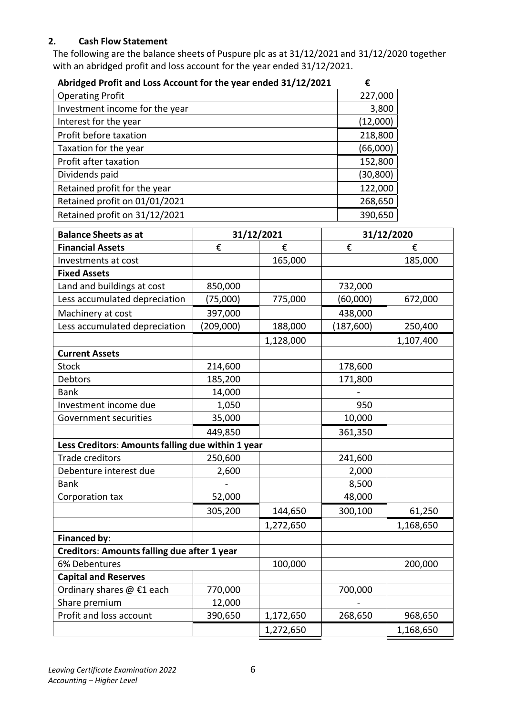### **2. Cash Flow Statement**

The following are the balance sheets of Puspure plc as at 31/12/2021 and 31/12/2020 together with an abridged profit and loss account for the year ended 31/12/2021.

| Abridged Profit and Loss Account for the year ended 31/12/2021 | €         |
|----------------------------------------------------------------|-----------|
| <b>Operating Profit</b>                                        | 227,000   |
| Investment income for the year                                 | 3,800     |
| Interest for the year                                          | (12,000)  |
| Profit before taxation                                         | 218,800   |
| Taxation for the year                                          | (66,000)  |
| Profit after taxation                                          | 152,800   |
| Dividends paid                                                 | (30, 800) |
| Retained profit for the year                                   | 122,000   |
| Retained profit on 01/01/2021                                  | 268,650   |
| Retained profit on 31/12/2021                                  | 390,650   |

| <b>Balance Sheets as at</b>                       |           | 31/12/2021 |           | 31/12/2020 |
|---------------------------------------------------|-----------|------------|-----------|------------|
| <b>Financial Assets</b>                           | €         | €          | €         | €          |
| Investments at cost                               |           | 165,000    |           | 185,000    |
| <b>Fixed Assets</b>                               |           |            |           |            |
| Land and buildings at cost                        | 850,000   |            | 732,000   |            |
| Less accumulated depreciation                     | (75,000)  | 775,000    | (60,000)  | 672,000    |
| Machinery at cost                                 | 397,000   |            | 438,000   |            |
| Less accumulated depreciation                     | (209,000) | 188,000    | (187,600) | 250,400    |
|                                                   |           | 1,128,000  |           | 1,107,400  |
| <b>Current Assets</b>                             |           |            |           |            |
| <b>Stock</b>                                      | 214,600   |            | 178,600   |            |
| Debtors                                           | 185,200   |            | 171,800   |            |
| <b>Bank</b>                                       | 14,000    |            |           |            |
| Investment income due                             | 1,050     |            | 950       |            |
| Government securities                             | 35,000    |            | 10,000    |            |
|                                                   | 449,850   |            | 361,350   |            |
| Less Creditors: Amounts falling due within 1 year |           |            |           |            |
| <b>Trade creditors</b>                            | 250,600   |            | 241,600   |            |
| Debenture interest due                            | 2,600     |            | 2,000     |            |
| <b>Bank</b>                                       |           |            | 8,500     |            |
| Corporation tax                                   | 52,000    |            | 48,000    |            |
|                                                   | 305,200   | 144,650    | 300,100   | 61,250     |
|                                                   |           | 1,272,650  |           | 1,168,650  |
| <b>Financed by:</b>                               |           |            |           |            |
| Creditors: Amounts falling due after 1 year       |           |            |           |            |
| 6% Debentures                                     |           | 100,000    |           | 200,000    |
| <b>Capital and Reserves</b>                       |           |            |           |            |
| Ordinary shares @ €1 each                         | 770,000   |            | 700,000   |            |
| Share premium                                     | 12,000    |            |           |            |
| Profit and loss account                           | 390,650   | 1,172,650  | 268,650   | 968,650    |
|                                                   |           | 1,272,650  |           | 1,168,650  |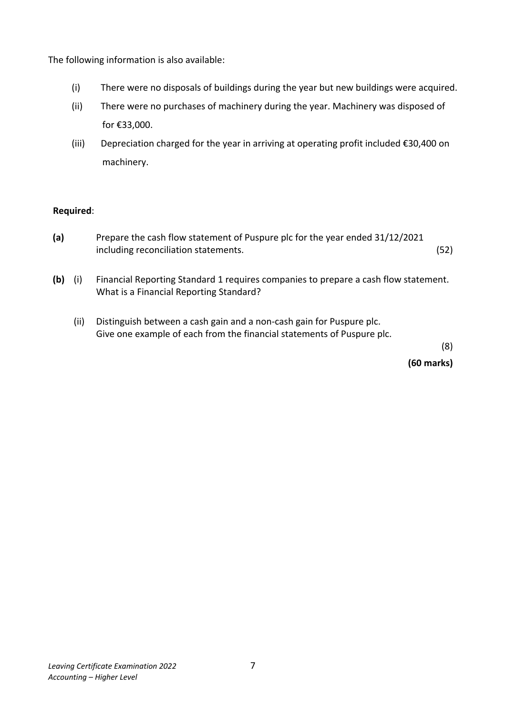The following information is also available:

- (i) There were no disposals of buildings during the year but new buildings were acquired.
- (ii) There were no purchases of machinery during the year. Machinery was disposed of for €33,000.
- (iii) Depreciation charged for the year in arriving at operating profit included €30,400 on machinery.

#### **Required**:

- **(a)** Prepare the cash flow statement of Puspure plc for the year ended 31/12/2021 including reconciliation statements. (52)
- **(b)** (i) Financial Reporting Standard 1 requires companies to prepare a cash flow statement. What is a Financial Reporting Standard?
	- (ii) Distinguish between a cash gain and a non-cash gain for Puspure plc. Give one example of each from the financial statements of Puspure plc.

(8)

**(60 marks)**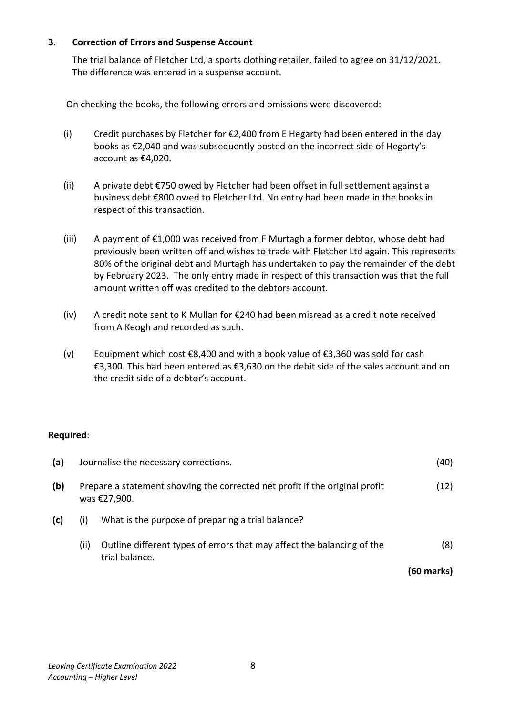### **3. Correction of Errors and Suspense Account**

The trial balance of Fletcher Ltd, a sports clothing retailer, failed to agree on 31/12/2021. The difference was entered in a suspense account.

On checking the books, the following errors and omissions were discovered:

- (i) Credit purchases by Fletcher for  $\epsilon$ 2,400 from E Hegarty had been entered in the day books as €2,040 and was subsequently posted on the incorrect side of Hegarty's account as €4,020.
- (ii) A private debt €750 owed by Fletcher had been offset in full settlement against a business debt €800 owed to Fletcher Ltd. No entry had been made in the books in respect of this transaction.
- (iii) A payment of €1,000 was received from F Murtagh a former debtor, whose debt had previously been written off and wishes to trade with Fletcher Ltd again. This represents 80% of the original debt and Murtagh has undertaken to pay the remainder of the debt by February 2023. The only entry made in respect of this transaction was that the full amount written off was credited to the debtors account.
- (iv) A credit note sent to K Mullan for €240 had been misread as a credit note received from A Keogh and recorded as such.
- (v) Equipment which cost €8,400 and with a book value of €3,360 was sold for cash €3,300. This had been entered as €3,630 on the debit side of the sales account and on the credit side of a debtor's account.

#### **Required**:

| (a) |      | Journalise the necessary corrections.                                                       | (40)       |
|-----|------|---------------------------------------------------------------------------------------------|------------|
| (b) |      | Prepare a statement showing the corrected net profit if the original profit<br>was €27,900. | (12)       |
| (c) | (i)  | What is the purpose of preparing a trial balance?                                           |            |
|     | (ii) | Outline different types of errors that may affect the balancing of the<br>trial balance.    | (8)        |
|     |      |                                                                                             | (60 marks) |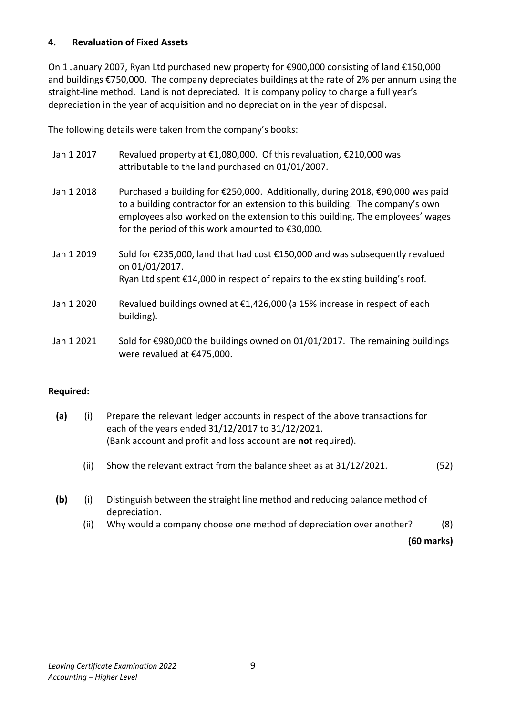#### **4. Revaluation of Fixed Assets**

On 1 January 2007, Ryan Ltd purchased new property for €900,000 consisting of land €150,000 and buildings €750,000. The company depreciates buildings at the rate of 2% per annum using the straight-line method. Land is not depreciated. It is company policy to charge a full year's depreciation in the year of acquisition and no depreciation in the year of disposal.

The following details were taken from the company's books:

- Jan 1 2017 Revalued property at €1,080,000. Of this revaluation, €210,000 was attributable to the land purchased on 01/01/2007.
- Jan 1 2018 Purchased a building for €250,000. Additionally, during 2018, €90,000 was paid to a building contractor for an extension to this building. The company's own employees also worked on the extension to this building. The employees' wages for the period of this work amounted to €30,000.
- Jan 1 2019 Sold for €235,000, land that had cost €150,000 and was subsequently revalued on 01/01/2017. Ryan Ltd spent €14,000 in respect of repairs to the existing building's roof.
- Jan 1 2020 Revalued buildings owned at €1,426,000 (a 15% increase in respect of each building).
- Jan 1 2021 Sold for €980,000 the buildings owned on 01/01/2017. The remaining buildings were revalued at €475,000.

#### **Required:**

- **(a)** (i) Prepare the relevant ledger accounts in respect of the above transactions for each of the years ended 31/12/2017 to 31/12/2021. (Bank account and profit and loss account are **not** required).
	- (ii) Show the relevant extract from the balance sheet as at 31/12/2021. (52)
- **(b)** (i) Distinguish between the straight line method and reducing balance method of depreciation.
	- (ii) Why would a company choose one method of depreciation over another? (8)

**(60 marks)**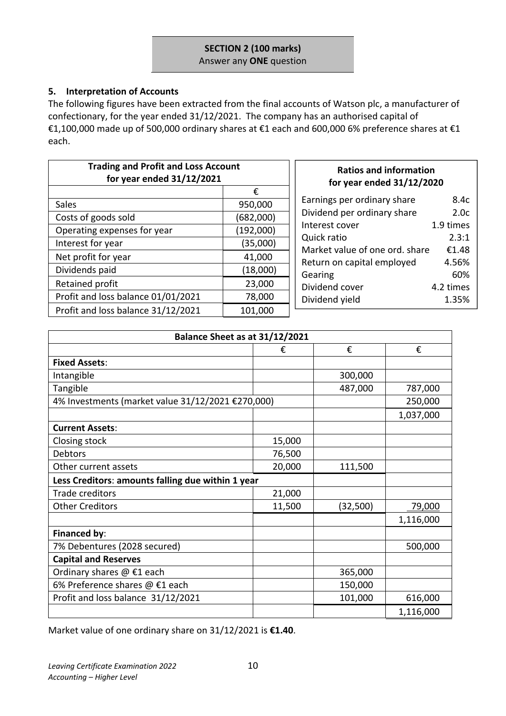### **SECTION 2 (100 marks)**  Answer any **ONE** question

### **5. Interpretation of Accounts**

The following figures have been extracted from the final accounts of Watson plc, a manufacturer of confectionary, for the year ended 31/12/2021. The company has an authorised capital of €1,100,000 made up of 500,000 ordinary shares at €1 each and 600,000 6% preference shares at €1 each.

| <b>Trading and Profit and Loss Account</b><br>for year ended 31/12/2021 |           |  |
|-------------------------------------------------------------------------|-----------|--|
|                                                                         | €         |  |
| Sales                                                                   | 950,000   |  |
| Costs of goods sold                                                     | (682,000) |  |
| Operating expenses for year                                             | (192,000) |  |
| Interest for year                                                       | (35,000)  |  |
| Net profit for year                                                     | 41,000    |  |
| Dividends paid                                                          | (18,000)  |  |
| Retained profit                                                         | 23,000    |  |
| Profit and loss balance 01/01/2021                                      | 78,000    |  |
| Profit and loss balance 31/12/2021                                      | 101,000   |  |

#### **Ratios and information for year ended 31/12/2020**

| Earnings per ordinary share    | 8.4c      |
|--------------------------------|-----------|
| Dividend per ordinary share    | 2.0c      |
| Interest cover                 | 1.9 times |
| Quick ratio                    | 2.3:1     |
| Market value of one ord. share | €1.48     |
| Return on capital employed     | 4.56%     |
| Gearing                        | 60%       |
| Dividend cover                 | 4.2 times |
| Dividend yield                 | 1.35%     |

| Balance Sheet as at 31/12/2021                    |        |          |           |  |
|---------------------------------------------------|--------|----------|-----------|--|
|                                                   | ŧ      | €        | €         |  |
| <b>Fixed Assets:</b>                              |        |          |           |  |
| Intangible                                        |        | 300,000  |           |  |
| Tangible                                          |        | 487,000  | 787,000   |  |
| 4% Investments (market value 31/12/2021 €270,000) |        |          | 250,000   |  |
|                                                   |        |          | 1,037,000 |  |
| <b>Current Assets:</b>                            |        |          |           |  |
| Closing stock                                     | 15,000 |          |           |  |
| <b>Debtors</b>                                    | 76,500 |          |           |  |
| Other current assets                              | 20,000 | 111,500  |           |  |
| Less Creditors: amounts falling due within 1 year |        |          |           |  |
| Trade creditors                                   | 21,000 |          |           |  |
| <b>Other Creditors</b>                            | 11,500 | (32,500) | 79,000    |  |
|                                                   |        |          | 1,116,000 |  |
| Financed by:                                      |        |          |           |  |
| 7% Debentures (2028 secured)                      |        |          | 500,000   |  |
| <b>Capital and Reserves</b>                       |        |          |           |  |
| Ordinary shares $@ \text{ } \in 1$ each           |        | 365,000  |           |  |
| 6% Preference shares @ €1 each                    |        | 150,000  |           |  |
| Profit and loss balance 31/12/2021                |        | 101,000  | 616,000   |  |
|                                                   |        |          | 1,116,000 |  |

Market value of one ordinary share on 31/12/2021 is **€1.40**.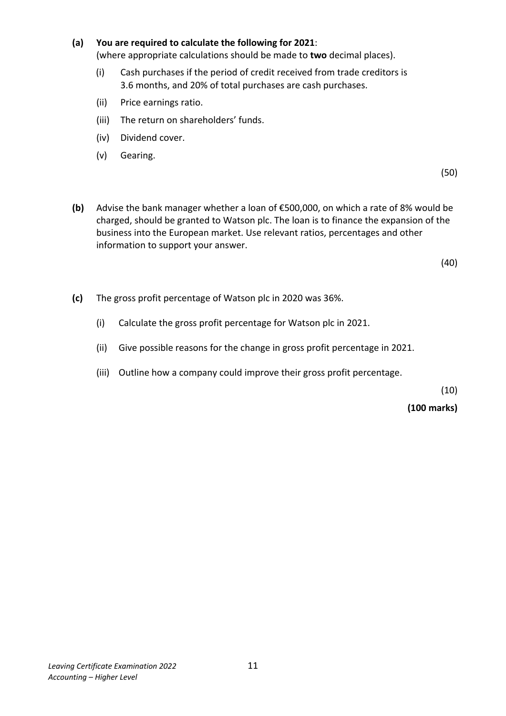#### **(a) You are required to calculate the following for 2021**:

(where appropriate calculations should be made to **two** decimal places).

- (i) Cash purchases if the period of credit received from trade creditors is 3.6 months, and 20% of total purchases are cash purchases.
- (ii) Price earnings ratio.
- (iii) The return on shareholders' funds.
- (iv) Dividend cover.
- (v) Gearing.

 $(50)$ 

**(b)** Advise the bank manager whether a loan of €500,000, on which a rate of 8% would be charged, should be granted to Watson plc. The loan is to finance the expansion of the business into the European market. Use relevant ratios, percentages and other information to support your answer.

(40)

- **(c)** The gross profit percentage of Watson plc in 2020 was 36%.
	- (i) Calculate the gross profit percentage for Watson plc in 2021.
	- (ii) Give possible reasons for the change in gross profit percentage in 2021.
	- (iii) Outline how a company could improve their gross profit percentage.

(10)

**(100 marks)**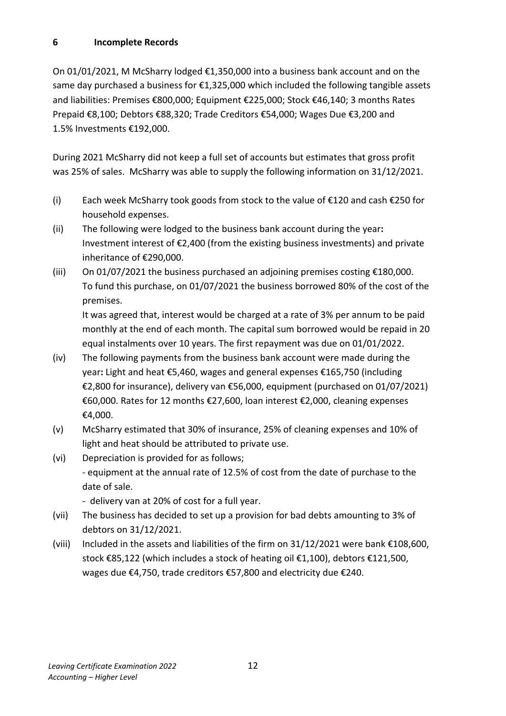## **6 Incomplete Records**

On 01/01/2021, M McSharry lodged €1,350,000 into a business bank account and on the same day purchased a business for  $\epsilon$ 1,325,000 which included the following tangible assets and liabilities: Premises €800,000; Equipment €225,000; Stock €46,140; 3 months Rates Prepaid €8,100; Debtors €88,320; Trade Creditors €54,000; Wages Due €3,200 and 1.5% Investments €192,000.

During 2021 McSharry did not keep a full set of accounts but estimates that gross profit was 25% of sales. McSharry was able to supply the following information on 31/12/2021.

- (i) Each week McSharry took goods from stock to the value of  $E$ 120 and cash  $E$ 250 for household expenses.
- (ii) The following were lodged to the business bank account during the year**:**  Investment interest of €2,400 (from the existing business investments) and private inheritance of €290,000.
- (iii) On 01/07/2021 the business purchased an adjoining premises costing  $€180,000$ . To fund this purchase, on 01/07/2021 the business borrowed 80% of the cost of the premises.

It was agreed that, interest would be charged at a rate of 3% per annum to be paid monthly at the end of each month. The capital sum borrowed would be repaid in 20 equal instalments over 10 years. The first repayment was due on 01/01/2022.

- (iv) The following payments from the business bank account were made during the year**:** Light and heat €5,460, wages and general expenses €165,750 (including €2,800 for insurance), delivery van €56,000, equipment (purchased on 01/07/2021) €60,000. Rates for 12 months €27,600, loan interest €2,000, cleaning expenses €4,000.
- (v) McSharry estimated that 30% of insurance, 25% of cleaning expenses and 10% of light and heat should be attributed to private use.
- (vi) Depreciation is provided for as follows; - equipment at the annual rate of 12.5% of cost from the date of purchase to the date of sale.

- delivery van at 20% of cost for a full year.

- (vii) The business has decided to set up a provision for bad debts amounting to 3% of debtors on 31/12/2021.
- (viii) Included in the assets and liabilities of the firm on 31/12/2021 were bank €108,600, stock €85,122 (which includes a stock of heating oil €1,100), debtors €121,500, wages due €4,750, trade creditors €57,800 and electricity due €240.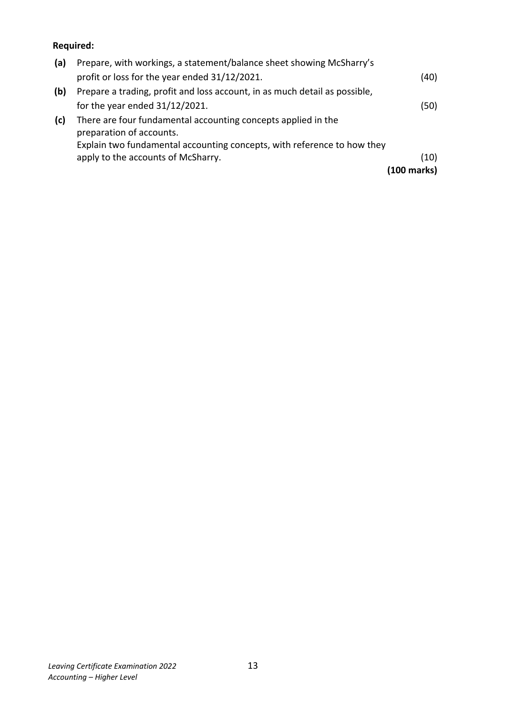# **Required:**

| (a) | Prepare, with workings, a statement/balance sheet showing McSharry's                      |             |
|-----|-------------------------------------------------------------------------------------------|-------------|
|     | profit or loss for the year ended 31/12/2021.                                             | (40)        |
| (b) | Prepare a trading, profit and loss account, in as much detail as possible,                |             |
|     | for the year ended $31/12/2021$ .                                                         | (50)        |
| (c) | There are four fundamental accounting concepts applied in the<br>preparation of accounts. |             |
|     | Explain two fundamental accounting concepts, with reference to how they                   |             |
|     | apply to the accounts of McSharry.                                                        | (10)        |
|     |                                                                                           | (100 marks) |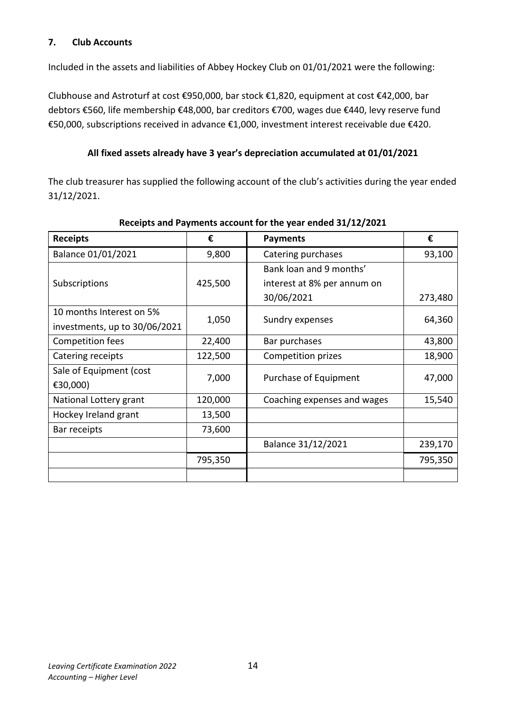# **7. Club Accounts**

Included in the assets and liabilities of Abbey Hockey Club on 01/01/2021 were the following:

Clubhouse and Astroturf at cost €950,000, bar stock €1,820, equipment at cost €42,000, bar debtors €560, life membership €48,000, bar creditors €700, wages due €440, levy reserve fund €50,000, subscriptions received in advance €1,000, investment interest receivable due €420.

### **All fixed assets already have 3 year's depreciation accumulated at 01/01/2021**

The club treasurer has supplied the following account of the club's activities during the year ended 31/12/2021.

| <b>Receipts</b>               | €       | <b>Payments</b>             | €       |
|-------------------------------|---------|-----------------------------|---------|
| Balance 01/01/2021            | 9,800   | Catering purchases          | 93,100  |
|                               |         | Bank loan and 9 months'     |         |
| Subscriptions                 | 425,500 | interest at 8% per annum on |         |
|                               |         | 30/06/2021                  | 273,480 |
| 10 months Interest on 5%      | 1,050   | Sundry expenses             |         |
| investments, up to 30/06/2021 |         |                             | 64,360  |
| Competition fees              | 22,400  | Bar purchases               | 43,800  |
| Catering receipts             | 122,500 | Competition prizes          | 18,900  |
| Sale of Equipment (cost       | 7,000   | Purchase of Equipment       | 47,000  |
| €30,000)                      |         |                             |         |
| National Lottery grant        | 120,000 | Coaching expenses and wages | 15,540  |
| Hockey Ireland grant          | 13,500  |                             |         |
| Bar receipts                  | 73,600  |                             |         |
|                               |         | Balance 31/12/2021          | 239,170 |
|                               | 795,350 |                             | 795,350 |
|                               |         |                             |         |

**Receipts and Payments account for the year ended 31/12/2021**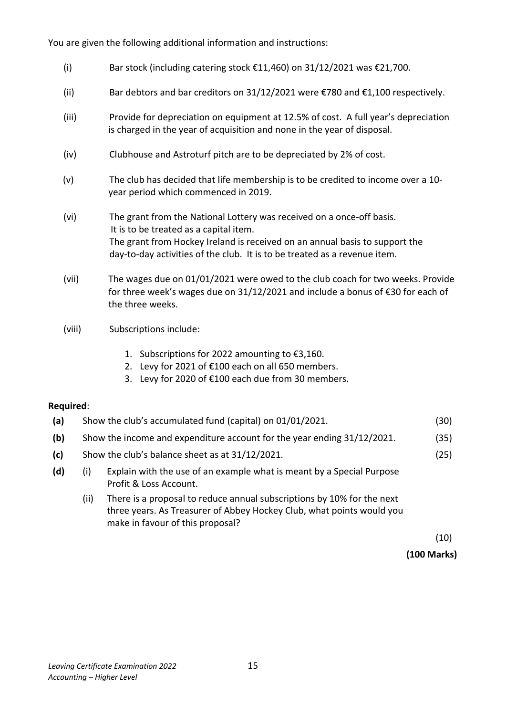You are given the following additional information and instructions:

- (i) Bar stock (including catering stock  $\epsilon$ 11,460) on 31/12/2021 was  $\epsilon$ 21,700.
- (ii) Bar debtors and bar creditors on 31/12/2021 were  $\epsilon$ 780 and  $\epsilon$ 1,100 respectively.
- (iii) Provide for depreciation on equipment at 12.5% of cost. A full year's depreciation is charged in the year of acquisition and none in the year of disposal.
- (iv) Clubhouse and Astroturf pitch are to be depreciated by 2% of cost.
- (v) The club has decided that life membership is to be credited to income over a 10 year period which commenced in 2019.
- (vi) The grant from the National Lottery was received on a once-off basis. It is to be treated as a capital item. The grant from Hockey Ireland is received on an annual basis to support the day-to-day activities of the club. It is to be treated as a revenue item.
- (vii) The wages due on 01/01/2021 were owed to the club coach for two weeks. Provide for three week's wages due on 31/12/2021 and include a bonus of €30 for each of the three weeks.
- (viii) Subscriptions include:
	- 1. Subscriptions for 2022 amounting to €3,160.
	- 2. Levy for 2021 of €100 each on all 650 members.
	- 3. Levy for 2020 of €100 each due from 30 members.

#### **Required**:

| (a) | Show the club's accumulated fund (capital) on 01/01/2021. | (30) |
|-----|-----------------------------------------------------------|------|
|-----|-----------------------------------------------------------|------|

- **(b)** Show the income and expenditure account for the year ending 31/12/2021. (35)
- **(c)** Show the club's balance sheet as at 31/12/2021. (25)
- **(d)** (i) Explain with the use of an example what is meant by a Special Purpose Profit & Loss Account.
	- (ii) There is a proposal to reduce annual subscriptions by 10% for the next three years. As Treasurer of Abbey Hockey Club, what points would you make in favour of this proposal?

 $(10)$ 

**(100 Marks)**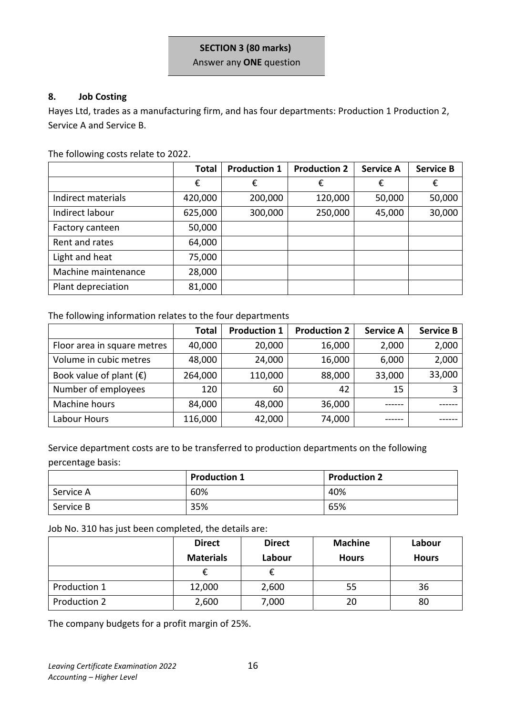#### **SECTION 3 (80 marks)**

Answer any **ONE** question

#### **8. Job Costing**

Hayes Ltd, trades as a manufacturing firm, and has four departments: Production 1 Production 2, Service A and Service B.

The following costs relate to 2022.

|                     | <b>Total</b> | <b>Production 1</b> | <b>Production 2</b> | <b>Service A</b> | <b>Service B</b> |
|---------------------|--------------|---------------------|---------------------|------------------|------------------|
|                     | €            | €                   | €                   | €                | €                |
| Indirect materials  | 420,000      | 200,000             | 120,000             | 50,000           | 50,000           |
| Indirect labour     | 625,000      | 300,000             | 250,000             | 45,000           | 30,000           |
| Factory canteen     | 50,000       |                     |                     |                  |                  |
| Rent and rates      | 64,000       |                     |                     |                  |                  |
| Light and heat      | 75,000       |                     |                     |                  |                  |
| Machine maintenance | 28,000       |                     |                     |                  |                  |
| Plant depreciation  | 81,000       |                     |                     |                  |                  |

The following information relates to the four departments

|                             | <b>Total</b> | <b>Production 1</b> | <b>Production 2</b> | <b>Service A</b> | <b>Service B</b> |
|-----------------------------|--------------|---------------------|---------------------|------------------|------------------|
| Floor area in square metres | 40,000       | 20,000              | 16,000              | 2,000            | 2,000            |
| Volume in cubic metres      | 48,000       | 24,000              | 16,000              | 6,000            | 2,000            |
| Book value of plant $(E)$   | 264,000      | 110,000             | 88,000              | 33,000           | 33,000           |
| Number of employees         | 120          | 60                  | 42                  | 15               |                  |
| Machine hours               | 84,000       | 48,000              | 36,000              |                  |                  |
| Labour Hours                | 116,000      | 42,000              | 74,000              |                  |                  |

Service department costs are to be transferred to production departments on the following percentage basis:

|           | <b>Production 1</b> | <b>Production 2</b> |
|-----------|---------------------|---------------------|
| Service A | 60%                 | 40%                 |
| Service B | 35%                 | 65%                 |

Job No. 310 has just been completed, the details are:

|              | <b>Direct</b>    | <b>Direct</b> | <b>Machine</b> | Labour       |
|--------------|------------------|---------------|----------------|--------------|
|              | <b>Materials</b> | Labour        | <b>Hours</b>   | <b>Hours</b> |
|              | £                |               |                |              |
| Production 1 | 12,000           | 2,600         | 55             | 36           |
| Production 2 | 2,600            | 7,000         | 20             | 80           |

The company budgets for a profit margin of 25%.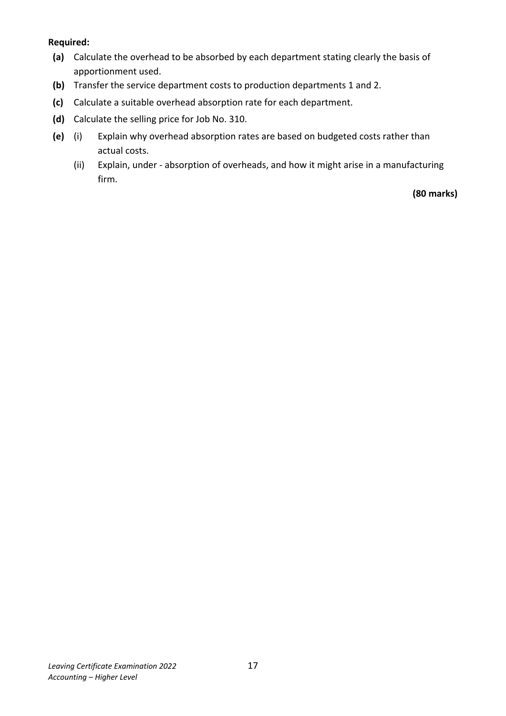### **Required:**

- **(a)** Calculate the overhead to be absorbed by each department stating clearly the basis of apportionment used.
- **(b)** Transfer the service department costs to production departments 1 and 2.
- **(c)** Calculate a suitable overhead absorption rate for each department.
- **(d)** Calculate the selling price for Job No. 310.
- **(e)** (i) Explain why overhead absorption rates are based on budgeted costs rather than actual costs.
	- (ii) Explain, under absorption of overheads, and how it might arise in a manufacturing firm.

**(80 marks)**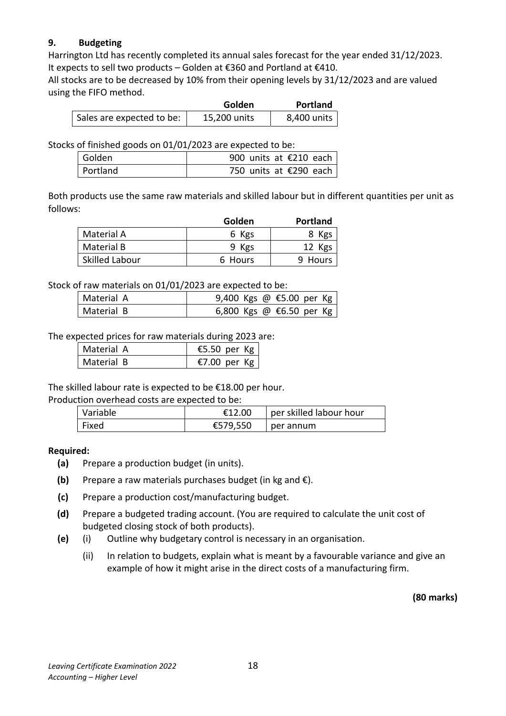# **9. Budgeting**

Harrington Ltd has recently completed its annual sales forecast for the year ended 31/12/2023. It expects to sell two products – Golden at €360 and Portland at €410.

All stocks are to be decreased by 10% from their opening levels by 31/12/2023 and are valued using the FIFO method.

|                           | Golden       | <b>Portland</b> |
|---------------------------|--------------|-----------------|
| Sales are expected to be: | 15,200 units | 8,400 units     |

Stocks of finished goods on 01/01/2023 are expected to be:

| Golden   |  | 900 units at $\epsilon$ 210 each |  |
|----------|--|----------------------------------|--|
| Portland |  | 750 units at €290 each           |  |

Both products use the same raw materials and skilled labour but in different quantities per unit as follows:

|                       | Golden  | <b>Portland</b> |
|-----------------------|---------|-----------------|
| Material A            | 6 Kgs   | 8 Kgs           |
| Material B            | 9 Kgs   | 12 Kgs          |
| <b>Skilled Labour</b> | 6 Hours | Hours           |

Stock of raw materials on 01/01/2023 are expected to be:

| Material A | 9,400 Kgs @ €5.00 per Kg |
|------------|--------------------------|
| Material B | 6,800 Kgs @ €6.50 per Kg |

The expected prices for raw materials during 2023 are:

| Material A | €5.50 per Kg |
|------------|--------------|
| Material B | €7.00 per Kg |

The skilled labour rate is expected to be €18.00 per hour.

Production overhead costs are expected to be:

| Variable | €12.00   | per skilled labour hour |
|----------|----------|-------------------------|
| Fixed    | €579,550 | per annum               |

#### **Required:**

- **(a)** Prepare a production budget (in units).
- **(b)** Prepare a raw materials purchases budget (in kg and €).
- **(c)** Prepare a production cost/manufacturing budget.
- **(d)** Prepare a budgeted trading account. (You are required to calculate the unit cost of budgeted closing stock of both products).
- **(e)** (i) Outline why budgetary control is necessary in an organisation.
	- (ii) In relation to budgets, explain what is meant by a favourable variance and give an example of how it might arise in the direct costs of a manufacturing firm.

**(80 marks)**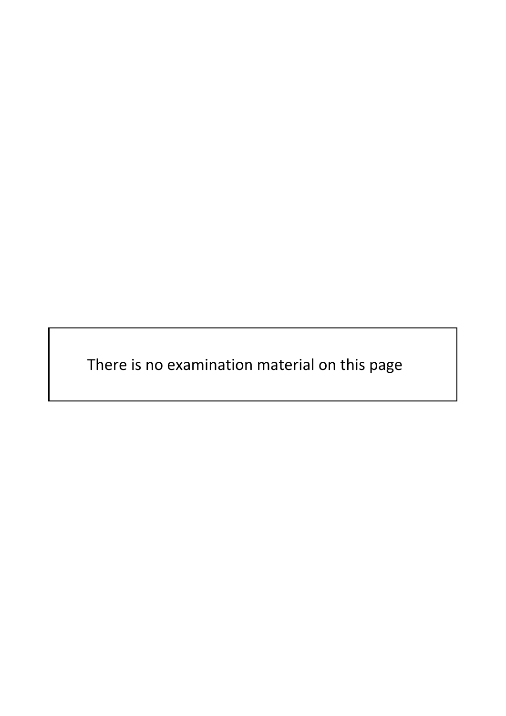There is no examination material on this page